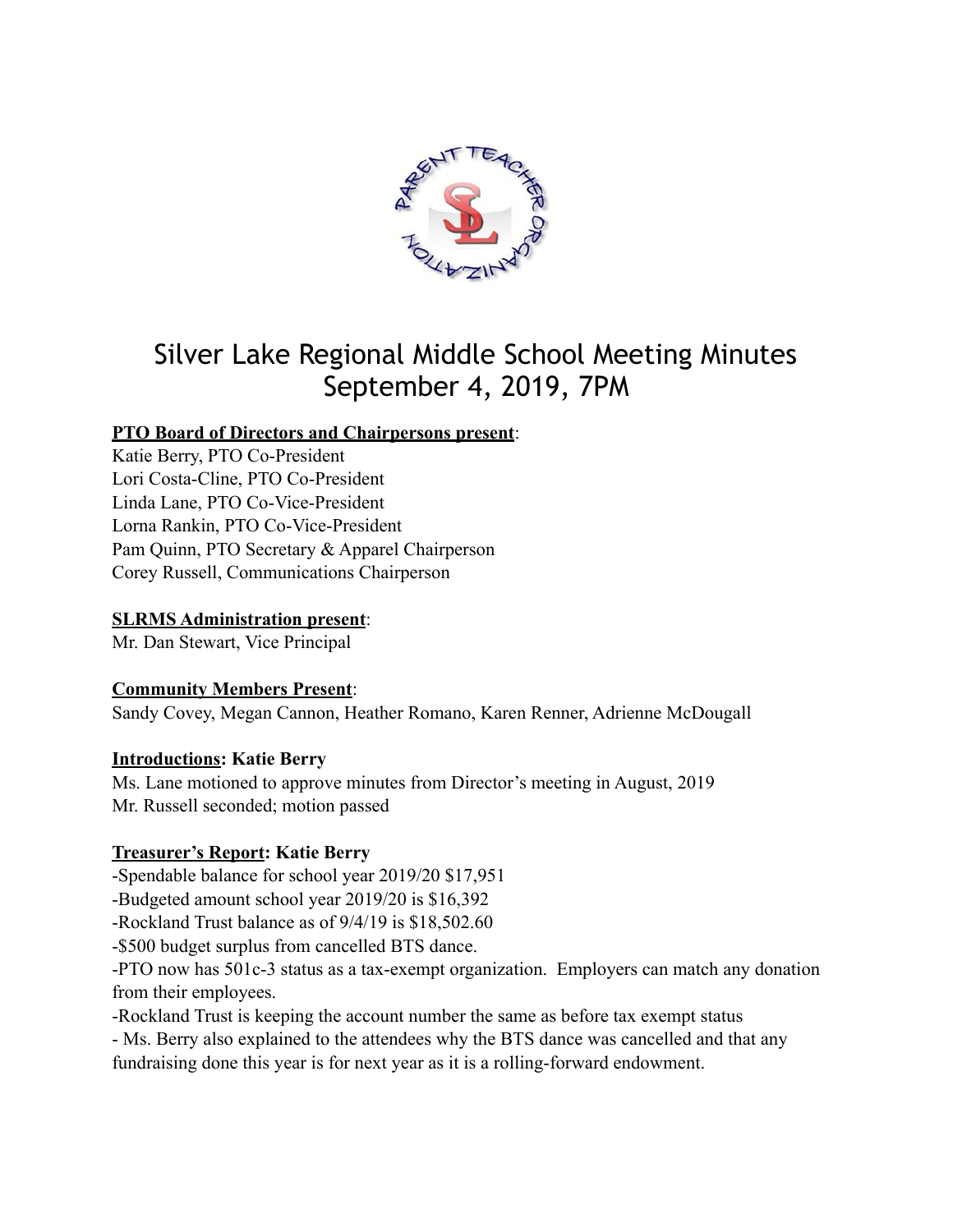

# Silver Lake Regional Middle School Meeting Minutes September 4, 2019, 7PM

# **PTO Board of Directors and Chairpersons present**:

Katie Berry, PTO Co-President Lori Costa-Cline, PTO Co-President Linda Lane, PTO Co-Vice-President Lorna Rankin, PTO Co-Vice-President Pam Quinn, PTO Secretary & Apparel Chairperson Corey Russell, Communications Chairperson

# **SLRMS Administration present**:

Mr. Dan Stewart, Vice Principal

# **Community Members Present**:

Sandy Covey, Megan Cannon, Heather Romano, Karen Renner, Adrienne McDougall

### **Introductions: Katie Berry**

Ms. Lane motioned to approve minutes from Director's meeting in August, 2019 Mr. Russell seconded; motion passed

# **Treasurer's Report: Katie Berry**

-Spendable balance for school year 2019/20 \$17,951

-Budgeted amount school year 2019/20 is \$16,392

-Rockland Trust balance as of 9/4/19 is \$18,502.60

-\$500 budget surplus from cancelled BTS dance.

-PTO now has 501c-3 status as a tax-exempt organization. Employers can match any donation from their employees.

-Rockland Trust is keeping the account number the same as before tax exempt status

- Ms. Berry also explained to the attendees why the BTS dance was cancelled and that any

fundraising done this year is for next year as it is a rolling-forward endowment.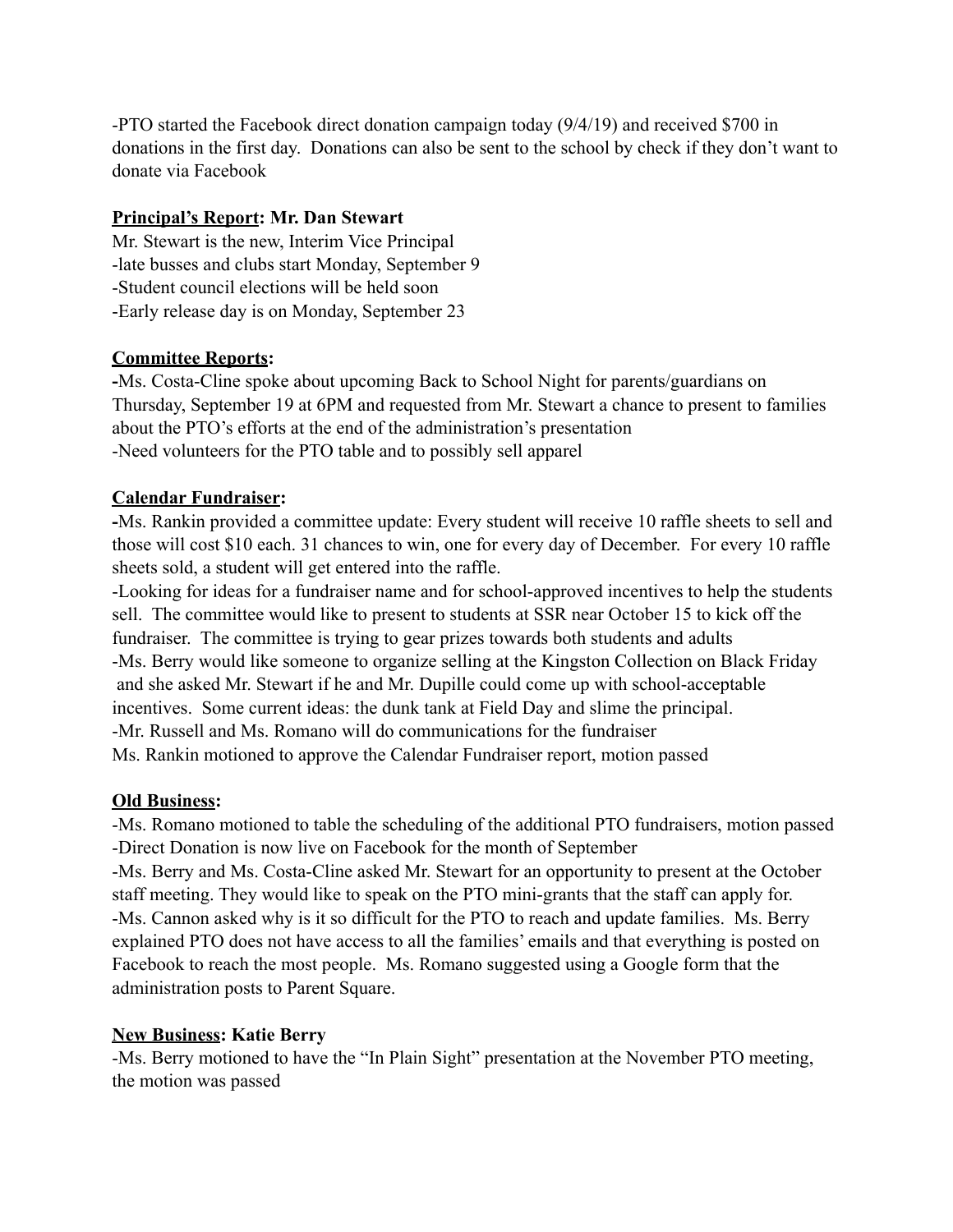-PTO started the Facebook direct donation campaign today (9/4/19) and received \$700 in donations in the first day. Donations can also be sent to the school by check if they don't want to donate via Facebook

## **Principal's Report: Mr. Dan Stewart**

Mr. Stewart is the new, Interim Vice Principal -late busses and clubs start Monday, September 9 -Student council elections will be held soon -Early release day is on Monday, September 23

### **Committee Reports:**

**-**Ms. Costa-Cline spoke about upcoming Back to School Night for parents/guardians on Thursday, September 19 at 6PM and requested from Mr. Stewart a chance to present to families about the PTO's efforts at the end of the administration's presentation -Need volunteers for the PTO table and to possibly sell apparel

## **Calendar Fundraiser:**

**-**Ms. Rankin provided a committee update: Every student will receive 10 raffle sheets to sell and those will cost \$10 each. 31 chances to win, one for every day of December. For every 10 raffle sheets sold, a student will get entered into the raffle.

-Looking for ideas for a fundraiser name and for school-approved incentives to help the students sell. The committee would like to present to students at SSR near October 15 to kick off the fundraiser. The committee is trying to gear prizes towards both students and adults -Ms. Berry would like someone to organize selling at the Kingston Collection on Black Friday and she asked Mr. Stewart if he and Mr. Dupille could come up with school-acceptable incentives. Some current ideas: the dunk tank at Field Day and slime the principal. -Mr. Russell and Ms. Romano will do communications for the fundraiser Ms. Rankin motioned to approve the Calendar Fundraiser report, motion passed

### **Old Business:**

-Ms. Romano motioned to table the scheduling of the additional PTO fundraisers, motion passed -Direct Donation is now live on Facebook for the month of September

-Ms. Berry and Ms. Costa-Cline asked Mr. Stewart for an opportunity to present at the October staff meeting. They would like to speak on the PTO mini-grants that the staff can apply for. -Ms. Cannon asked why is it so difficult for the PTO to reach and update families. Ms. Berry explained PTO does not have access to all the families' emails and that everything is posted on Facebook to reach the most people. Ms. Romano suggested using a Google form that the administration posts to Parent Square.

# **New Business: Katie Berry**

-Ms. Berry motioned to have the "In Plain Sight" presentation at the November PTO meeting, the motion was passed